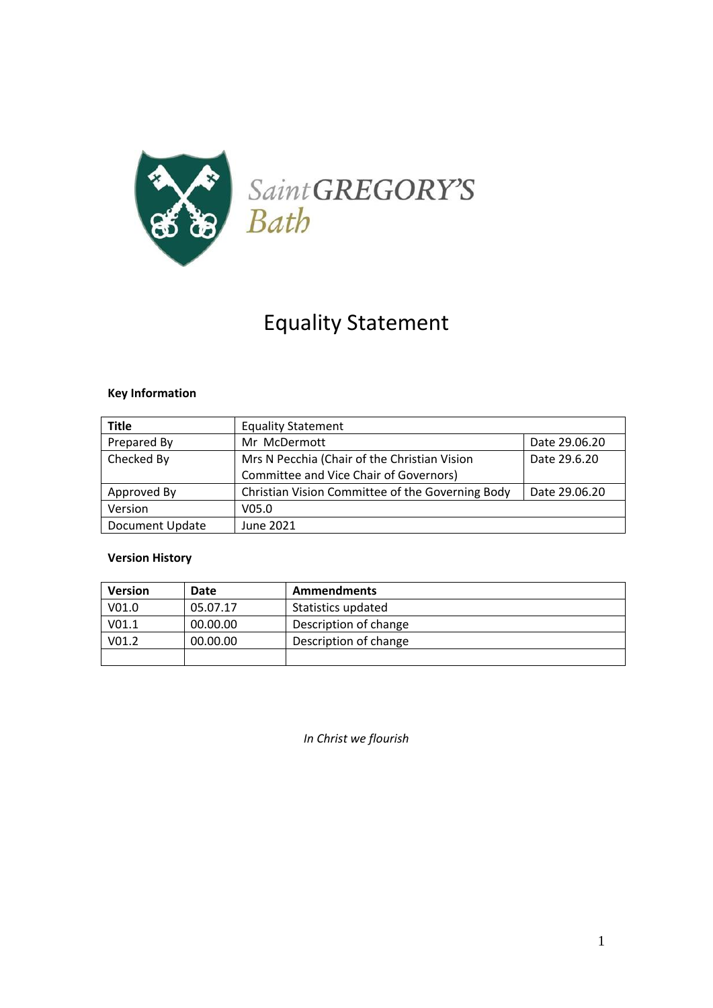

# Equality Statement

## **Key Information**

| <b>Title</b>           | <b>Equality Statement</b>                                    |               |
|------------------------|--------------------------------------------------------------|---------------|
| Prepared By            | Mr McDermott                                                 | Date 29.06.20 |
| Checked By             | Mrs N Pecchia (Chair of the Christian Vision<br>Date 29.6.20 |               |
|                        | Committee and Vice Chair of Governors)                       |               |
| Approved By            | Christian Vision Committee of the Governing Body             | Date 29.06.20 |
| Version                | V <sub>05.0</sub>                                            |               |
| <b>Document Update</b> | June 2021                                                    |               |

## **Version History**

| <b>Version</b>    | Date     | <b>Ammendments</b>    |
|-------------------|----------|-----------------------|
| V <sub>01.0</sub> | 05.07.17 | Statistics updated    |
| V <sub>01.1</sub> | 00.00.00 | Description of change |
| V <sub>01.2</sub> | 00.00.00 | Description of change |
|                   |          |                       |

*In Christ we flourish*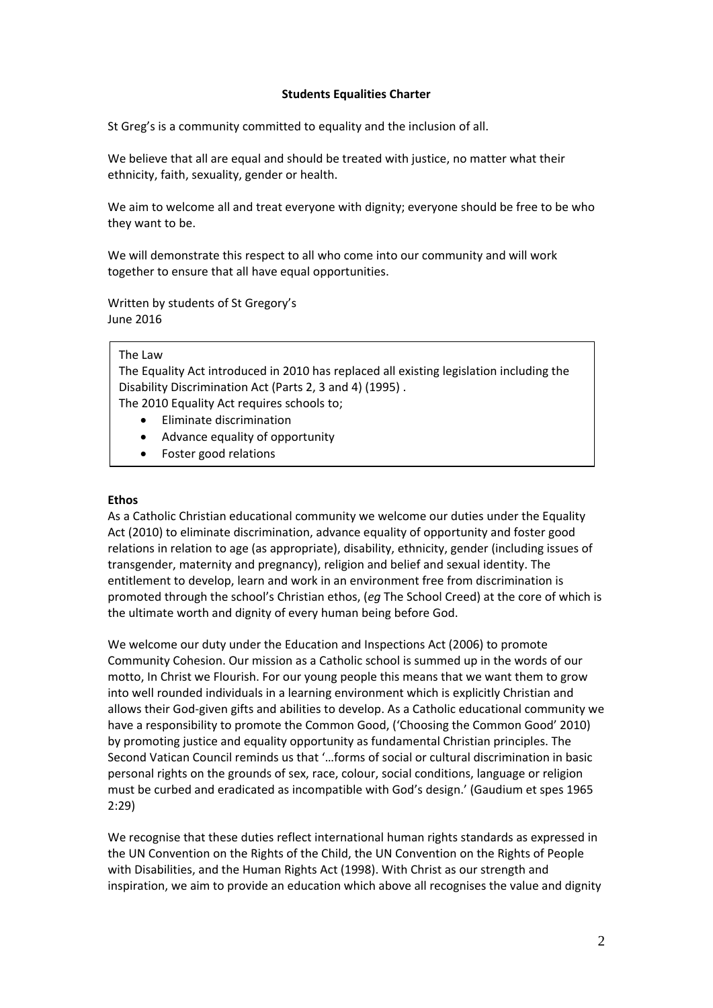### **Students Equalities Charter**

St Greg's is a community committed to equality and the inclusion of all.

We believe that all are equal and should be treated with justice, no matter what their ethnicity, faith, sexuality, gender or health.

We aim to welcome all and treat everyone with dignity; everyone should be free to be who they want to be.

We will demonstrate this respect to all who come into our community and will work together to ensure that all have equal opportunities.

Written by students of St Gregory's June 2016

#### The Law

The Equality Act introduced in 2010 has replaced all existing legislation including the Disability Discrimination Act (Parts 2, 3 and 4) (1995) .

The 2010 Equality Act requires schools to;

- Eliminate discrimination
- Advance equality of opportunity
- Foster good relations

#### **Ethos**

As a Catholic Christian educational community we welcome our duties under the Equality Act (2010) to eliminate discrimination, advance equality of opportunity and foster good relations in relation to age (as appropriate), disability, ethnicity, gender (including issues of transgender, maternity and pregnancy), religion and belief and sexual identity. The entitlement to develop, learn and work in an environment free from discrimination is promoted through the school's Christian ethos, (*eg* The School Creed) at the core of which is the ultimate worth and dignity of every human being before God.

We welcome our duty under the Education and Inspections Act (2006) to promote Community Cohesion. Our mission as a Catholic school is summed up in the words of our motto, In Christ we Flourish. For our young people this means that we want them to grow into well rounded individuals in a learning environment which is explicitly Christian and allows their God-given gifts and abilities to develop. As a Catholic educational community we have a responsibility to promote the Common Good, ('Choosing the Common Good' 2010) by promoting justice and equality opportunity as fundamental Christian principles. The Second Vatican Council reminds us that '…forms of social or cultural discrimination in basic personal rights on the grounds of sex, race, colour, social conditions, language or religion must be curbed and eradicated as incompatible with God's design.' (Gaudium et spes 1965 2:29)

We recognise that these duties reflect international human rights standards as expressed in the UN Convention on the Rights of the Child, the UN Convention on the Rights of People with Disabilities, and the Human Rights Act (1998). With Christ as our strength and inspiration, we aim to provide an education which above all recognises the value and dignity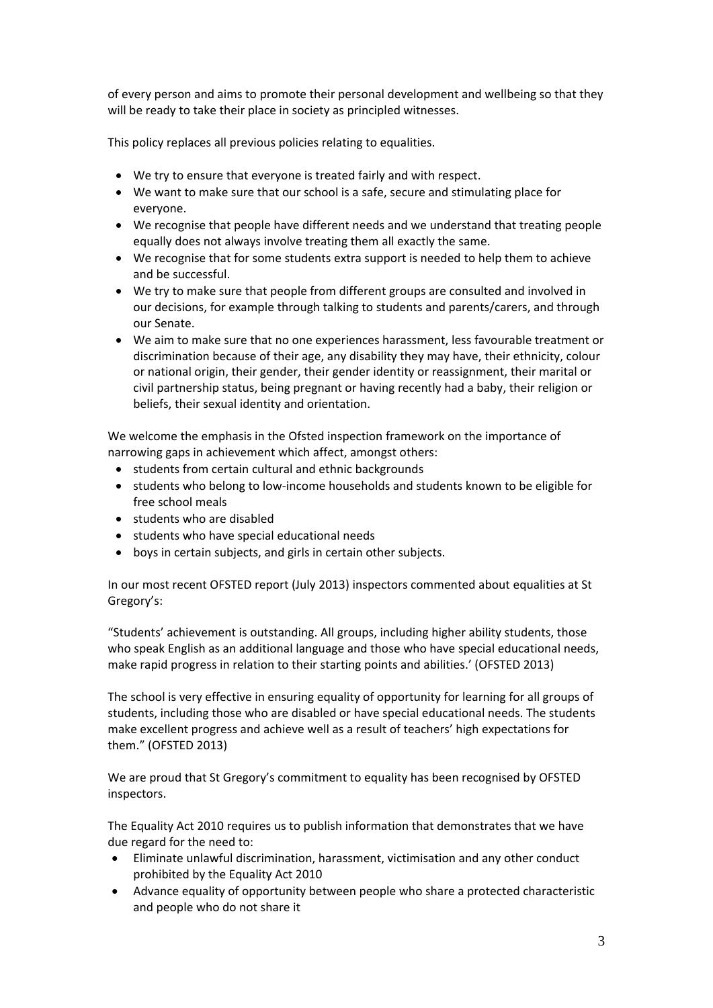of every person and aims to promote their personal development and wellbeing so that they will be ready to take their place in society as principled witnesses.

This policy replaces all previous policies relating to equalities.

- We try to ensure that everyone is treated fairly and with respect.
- We want to make sure that our school is a safe, secure and stimulating place for everyone.
- We recognise that people have different needs and we understand that treating people equally does not always involve treating them all exactly the same.
- We recognise that for some students extra support is needed to help them to achieve and be successful.
- We try to make sure that people from different groups are consulted and involved in our decisions, for example through talking to students and parents/carers, and through our Senate.
- We aim to make sure that no one experiences harassment, less favourable treatment or discrimination because of their age, any disability they may have, their ethnicity, colour or national origin, their gender, their gender identity or reassignment, their marital or civil partnership status, being pregnant or having recently had a baby, their religion or beliefs, their sexual identity and orientation.

We welcome the emphasis in the Ofsted inspection framework on the importance of narrowing gaps in achievement which affect, amongst others:

- students from certain cultural and ethnic backgrounds
- students who belong to low-income households and students known to be eligible for free school meals
- students who are disabled
- students who have special educational needs
- boys in certain subjects, and girls in certain other subjects.

In our most recent OFSTED report (July 2013) inspectors commented about equalities at St Gregory's:

"Students' achievement is outstanding. All groups, including higher ability students, those who speak English as an additional language and those who have special educational needs, make rapid progress in relation to their starting points and abilities.' (OFSTED 2013)

The school is very effective in ensuring equality of opportunity for learning for all groups of students, including those who are disabled or have special educational needs. The students make excellent progress and achieve well as a result of teachers' high expectations for them." (OFSTED 2013)

We are proud that St Gregory's commitment to equality has been recognised by OFSTED inspectors.

The Equality Act 2010 requires us to publish information that demonstrates that we have due regard for the need to:

- Eliminate unlawful discrimination, harassment, victimisation and any other conduct prohibited by the Equality Act 2010
- Advance equality of opportunity between people who share a protected characteristic and people who do not share it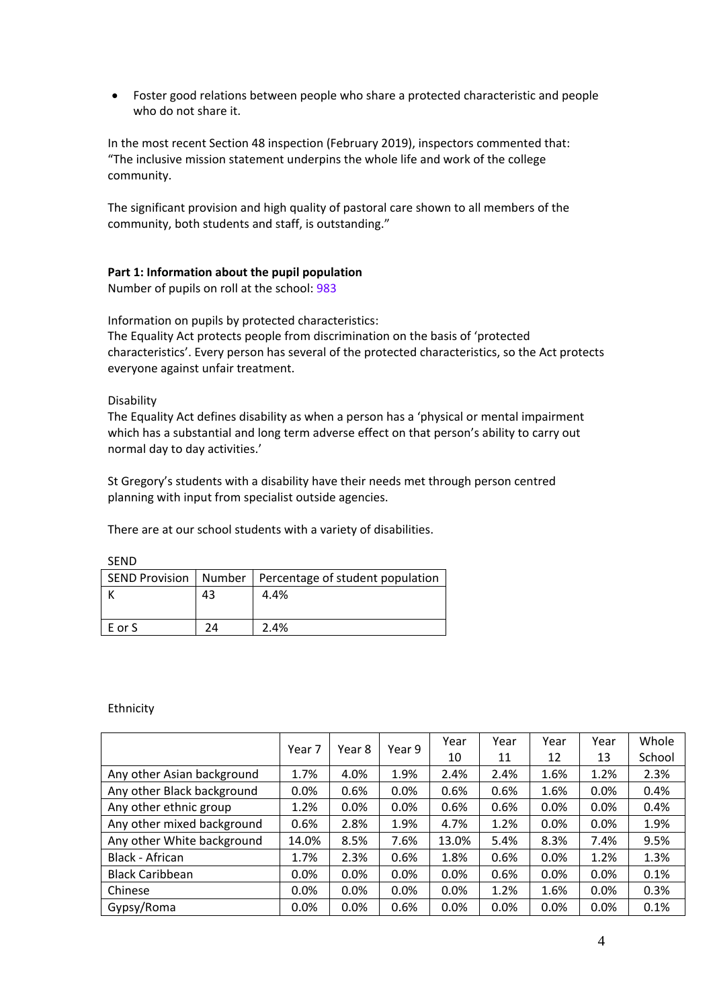Foster good relations between people who share a protected characteristic and people who do not share it.

In the most recent Section 48 inspection (February 2019), inspectors commented that: "The inclusive mission statement underpins the whole life and work of the college community.

The significant provision and high quality of pastoral care shown to all members of the community, both students and staff, is outstanding."

### **Part 1: Information about the pupil population**

Number of pupils on roll at the school: 983

Information on pupils by protected characteristics:

The Equality Act protects people from discrimination on the basis of 'protected characteristics'. Every person has several of the protected characteristics, so the Act protects everyone against unfair treatment.

Disability

The Equality Act defines disability as when a person has a 'physical or mental impairment which has a substantial and long term adverse effect on that person's ability to carry out normal day to day activities.'

St Gregory's students with a disability have their needs met through person centred planning with input from specialist outside agencies.

There are at our school students with a variety of disabilities.

|        |    | SEND Provision   Number   Percentage of student population |
|--------|----|------------------------------------------------------------|
|        | 43 | 4.4%                                                       |
|        |    |                                                            |
| E or S | 74 | 2.4%                                                       |

SEND

Ethnicity

|                            |        | Year 8 | Year 9 | Year  | Year | Year | Year | Whole  |
|----------------------------|--------|--------|--------|-------|------|------|------|--------|
|                            | Year 7 |        |        | 10    | 11   | 12   | 13   | School |
| Any other Asian background | 1.7%   | 4.0%   | 1.9%   | 2.4%  | 2.4% | 1.6% | 1.2% | 2.3%   |
| Any other Black background | 0.0%   | 0.6%   | 0.0%   | 0.6%  | 0.6% | 1.6% | 0.0% | 0.4%   |
| Any other ethnic group     | 1.2%   | 0.0%   | 0.0%   | 0.6%  | 0.6% | 0.0% | 0.0% | 0.4%   |
| Any other mixed background | 0.6%   | 2.8%   | 1.9%   | 4.7%  | 1.2% | 0.0% | 0.0% | 1.9%   |
| Any other White background | 14.0%  | 8.5%   | 7.6%   | 13.0% | 5.4% | 8.3% | 7.4% | 9.5%   |
| Black - African            | 1.7%   | 2.3%   | 0.6%   | 1.8%  | 0.6% | 0.0% | 1.2% | 1.3%   |
| <b>Black Caribbean</b>     | 0.0%   | 0.0%   | 0.0%   | 0.0%  | 0.6% | 0.0% | 0.0% | 0.1%   |
| Chinese                    | 0.0%   | 0.0%   | 0.0%   | 0.0%  | 1.2% | 1.6% | 0.0% | 0.3%   |
| Gypsy/Roma                 | 0.0%   | 0.0%   | 0.6%   | 0.0%  | 0.0% | 0.0% | 0.0% | 0.1%   |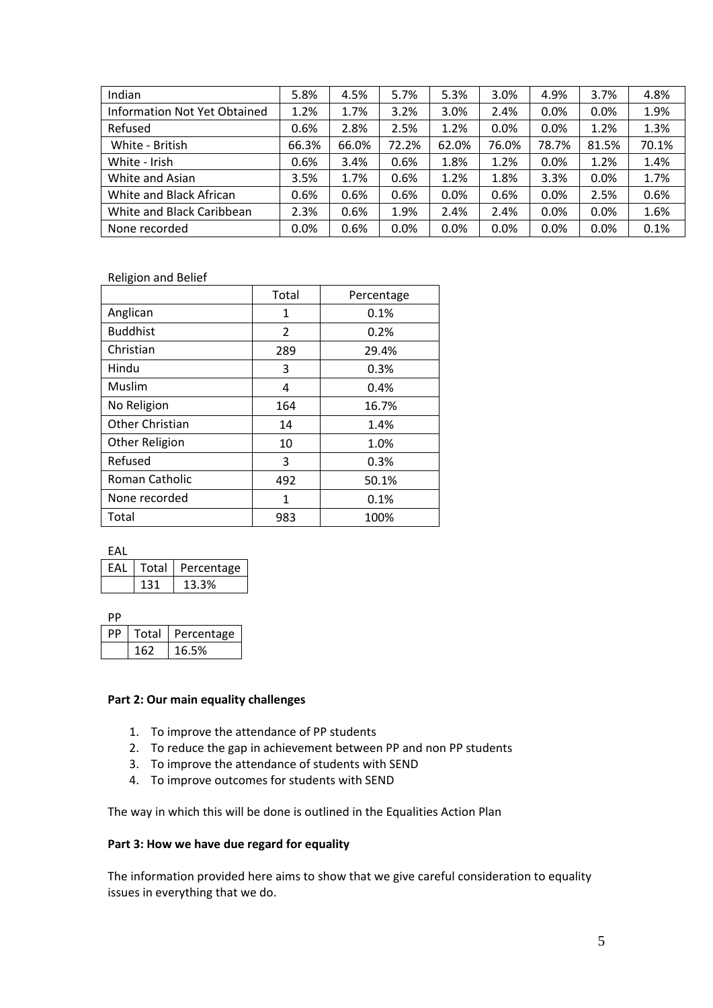| Indian                              | 5.8%    | 4.5%  | 5.7%  | 5.3%  | 3.0%    | 4.9%  | 3.7%  | 4.8%  |
|-------------------------------------|---------|-------|-------|-------|---------|-------|-------|-------|
| <b>Information Not Yet Obtained</b> | 1.2%    | 1.7%  | 3.2%  | 3.0%  | 2.4%    | 0.0%  | 0.0%  | 1.9%  |
| Refused                             | 0.6%    | 2.8%  | 2.5%  | 1.2%  | $0.0\%$ | 0.0%  | 1.2%  | 1.3%  |
| White - British                     | 66.3%   | 66.0% | 72.2% | 62.0% | 76.0%   | 78.7% | 81.5% | 70.1% |
| White - Irish                       | 0.6%    | 3.4%  | 0.6%  | 1.8%  | 1.2%    | 0.0%  | 1.2%  | 1.4%  |
| White and Asian                     | 3.5%    | 1.7%  | 0.6%  | 1.2%  | 1.8%    | 3.3%  | 0.0%  | 1.7%  |
| White and Black African             | 0.6%    | 0.6%  | 0.6%  | 0.0%  | 0.6%    | 0.0%  | 2.5%  | 0.6%  |
| White and Black Caribbean           | 2.3%    | 0.6%  | 1.9%  | 2.4%  | 2.4%    | 0.0%  | 0.0%  | 1.6%  |
| None recorded                       | $0.0\%$ | 0.6%  | 0.0%  | 0.0%  | $0.0\%$ | 0.0%  | 0.0%  | 0.1%  |

Religion and Belief

|                 | Total | Percentage |
|-----------------|-------|------------|
| Anglican        | 1     | 0.1%       |
| <b>Buddhist</b> | 2     | 0.2%       |
| Christian       | 289   | 29.4%      |
| Hindu           | 3     | 0.3%       |
| Muslim          | 4     | 0.4%       |
| No Religion     | 164   | 16.7%      |
| Other Christian | 14    | 1.4%       |
| Other Religion  | 10    | 1.0%       |
| Refused         | 3     | 0.3%       |
| Roman Catholic  | 492   | 50.1%      |
| None recorded   | 1     | 0.1%       |
| Total           | 983   | 100%       |

EAL

| FAI | Total | Percentage |
|-----|-------|------------|
|     |       | 13.3%      |

PP

| Total | Percentage |
|-------|------------|
| 162   | 16.5%      |

### **Part 2: Our main equality challenges**

- 1. To improve the attendance of PP students
- 2. To reduce the gap in achievement between PP and non PP students
- 3. To improve the attendance of students with SEND
- 4. To improve outcomes for students with SEND

The way in which this will be done is outlined in the Equalities Action Plan

## **Part 3: How we have due regard for equality**

The information provided here aims to show that we give careful consideration to equality issues in everything that we do.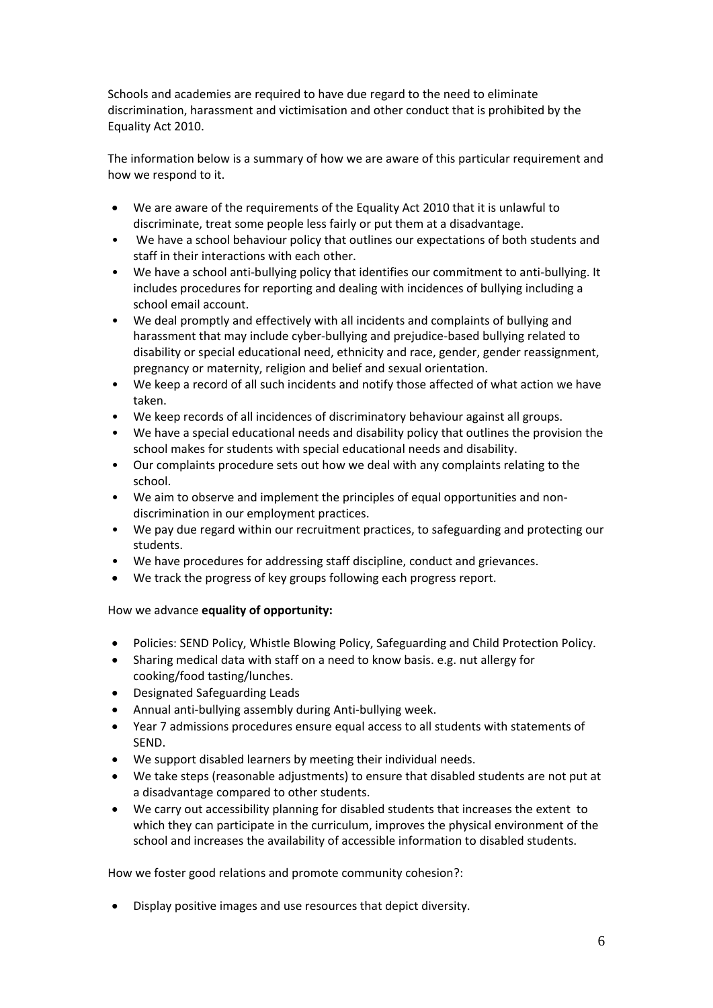Schools and academies are required to have due regard to the need to eliminate discrimination, harassment and victimisation and other conduct that is prohibited by the Equality Act 2010.

The information below is a summary of how we are aware of this particular requirement and how we respond to it.

- We are aware of the requirements of the Equality Act 2010 that it is unlawful to discriminate, treat some people less fairly or put them at a disadvantage.
- We have a school behaviour policy that outlines our expectations of both students and staff in their interactions with each other.
- We have a school anti-bullying policy that identifies our commitment to anti-bullying. It includes procedures for reporting and dealing with incidences of bullying including a school email account.
- We deal promptly and effectively with all incidents and complaints of bullying and harassment that may include cyber-bullying and prejudice-based bullying related to disability or special educational need, ethnicity and race, gender, gender reassignment, pregnancy or maternity, religion and belief and sexual orientation.
- We keep a record of all such incidents and notify those affected of what action we have taken.
- We keep records of all incidences of discriminatory behaviour against all groups.
- We have a special educational needs and disability policy that outlines the provision the school makes for students with special educational needs and disability.
- Our complaints procedure sets out how we deal with any complaints relating to the school.
- We aim to observe and implement the principles of equal opportunities and nondiscrimination in our employment practices.
- We pay due regard within our recruitment practices, to safeguarding and protecting our students.
- We have procedures for addressing staff discipline, conduct and grievances.
- We track the progress of key groups following each progress report.

## How we advance **equality of opportunity:**

- Policies: SEND Policy, Whistle Blowing Policy, Safeguarding and Child Protection Policy.
- Sharing medical data with staff on a need to know basis. e.g. nut allergy for cooking/food tasting/lunches.
- Designated Safeguarding Leads
- Annual anti-bullying assembly during Anti-bullying week.
- Year 7 admissions procedures ensure equal access to all students with statements of SEND.
- We support disabled learners by meeting their individual needs.
- We take steps (reasonable adjustments) to ensure that disabled students are not put at a disadvantage compared to other students.
- We carry out accessibility planning for disabled students that increases the extent to which they can participate in the curriculum, improves the physical environment of the school and increases the availability of accessible information to disabled students.

How we foster good relations and promote community cohesion?:

Display positive images and use resources that depict diversity.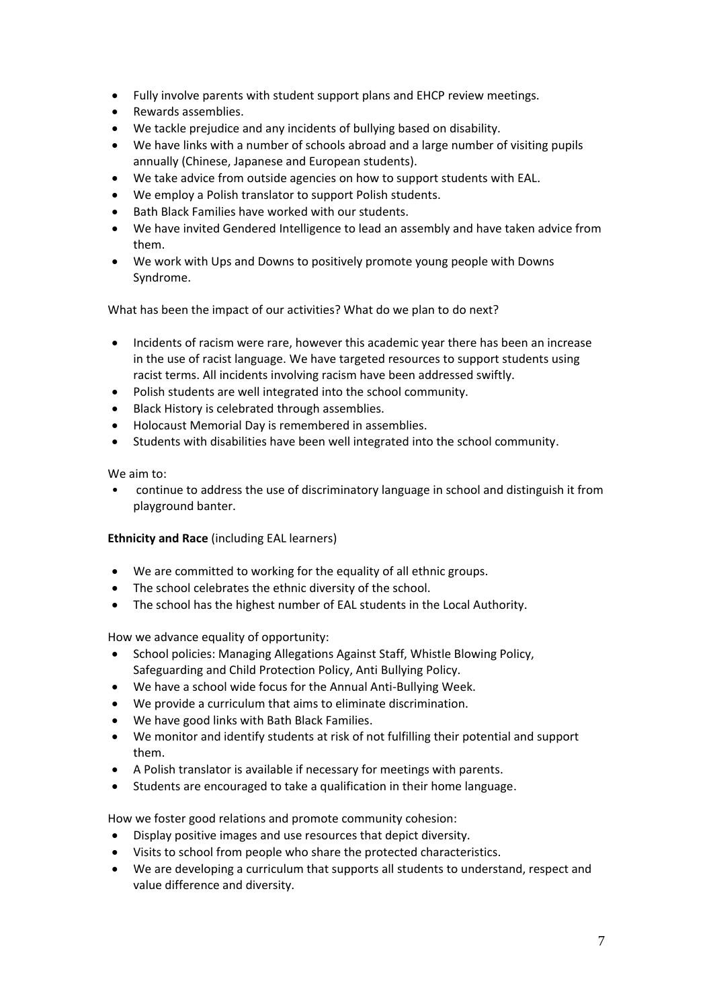- Fully involve parents with student support plans and EHCP review meetings.
- Rewards assemblies.
- We tackle prejudice and any incidents of bullying based on disability.
- We have links with a number of schools abroad and a large number of visiting pupils annually (Chinese, Japanese and European students).
- We take advice from outside agencies on how to support students with EAL.
- We employ a Polish translator to support Polish students.
- Bath Black Families have worked with our students.
- We have invited Gendered Intelligence to lead an assembly and have taken advice from them.
- We work with Ups and Downs to positively promote young people with Downs Syndrome.

What has been the impact of our activities? What do we plan to do next?

- Incidents of racism were rare, however this academic year there has been an increase in the use of racist language. We have targeted resources to support students using racist terms. All incidents involving racism have been addressed swiftly.
- Polish students are well integrated into the school community.
- Black History is celebrated through assemblies.
- Holocaust Memorial Day is remembered in assemblies.
- Students with disabilities have been well integrated into the school community.

We aim to:

• continue to address the use of discriminatory language in school and distinguish it from playground banter.

## **Ethnicity and Race** (including EAL learners)

- We are committed to working for the equality of all ethnic groups.
- The school celebrates the ethnic diversity of the school.
- The school has the highest number of EAL students in the Local Authority.

How we advance equality of opportunity:

- School policies: Managing Allegations Against Staff, Whistle Blowing Policy, Safeguarding and Child Protection Policy, Anti Bullying Policy.
- We have a school wide focus for the Annual Anti-Bullying Week.
- We provide a curriculum that aims to eliminate discrimination.
- We have good links with Bath Black Families.
- We monitor and identify students at risk of not fulfilling their potential and support them.
- A Polish translator is available if necessary for meetings with parents.
- Students are encouraged to take a qualification in their home language.

How we foster good relations and promote community cohesion:

- Display positive images and use resources that depict diversity.
- Visits to school from people who share the protected characteristics.
- We are developing a curriculum that supports all students to understand, respect and value difference and diversity.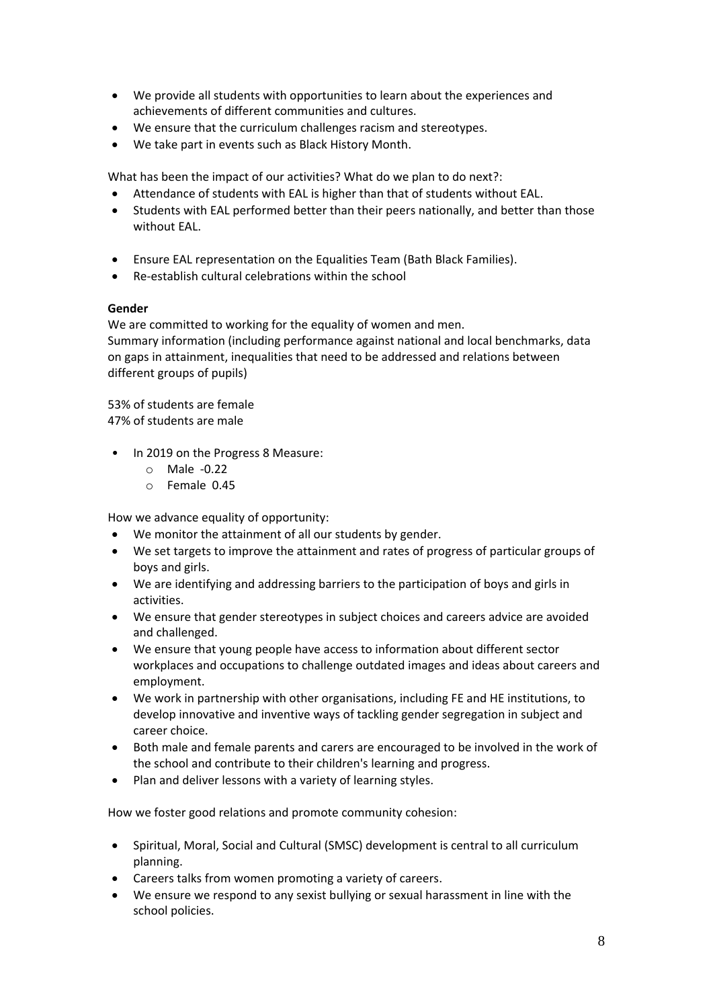- We provide all students with opportunities to learn about the experiences and achievements of different communities and cultures.
- We ensure that the curriculum challenges racism and stereotypes.
- We take part in events such as Black History Month.

What has been the impact of our activities? What do we plan to do next?:

- Attendance of students with EAL is higher than that of students without EAL.
- Students with EAL performed better than their peers nationally, and better than those without EAL.
- Ensure EAL representation on the Equalities Team (Bath Black Families).
- Re-establish cultural celebrations within the school

## **Gender**

We are committed to working for the equality of women and men. Summary information (including performance against national and local benchmarks, data on gaps in attainment, inequalities that need to be addressed and relations between different groups of pupils)

53% of students are female 47% of students are male

- In 2019 on the Progress 8 Measure:
	- o Male -0.22
	- o Female 0.45

How we advance equality of opportunity:

- We monitor the attainment of all our students by gender.
- We set targets to improve the attainment and rates of progress of particular groups of boys and girls.
- We are identifying and addressing barriers to the participation of boys and girls in activities.
- We ensure that gender stereotypes in subject choices and careers advice are avoided and challenged.
- We ensure that young people have access to information about different sector workplaces and occupations to challenge outdated images and ideas about careers and employment.
- We work in partnership with other organisations, including FE and HE institutions, to develop innovative and inventive ways of tackling gender segregation in subject and career choice.
- Both male and female parents and carers are encouraged to be involved in the work of the school and contribute to their children's learning and progress.
- Plan and deliver lessons with a variety of learning styles.

How we foster good relations and promote community cohesion:

- Spiritual, Moral, Social and Cultural (SMSC) development is central to all curriculum planning.
- Careers talks from women promoting a variety of careers.
- We ensure we respond to any sexist bullying or sexual harassment in line with the school policies.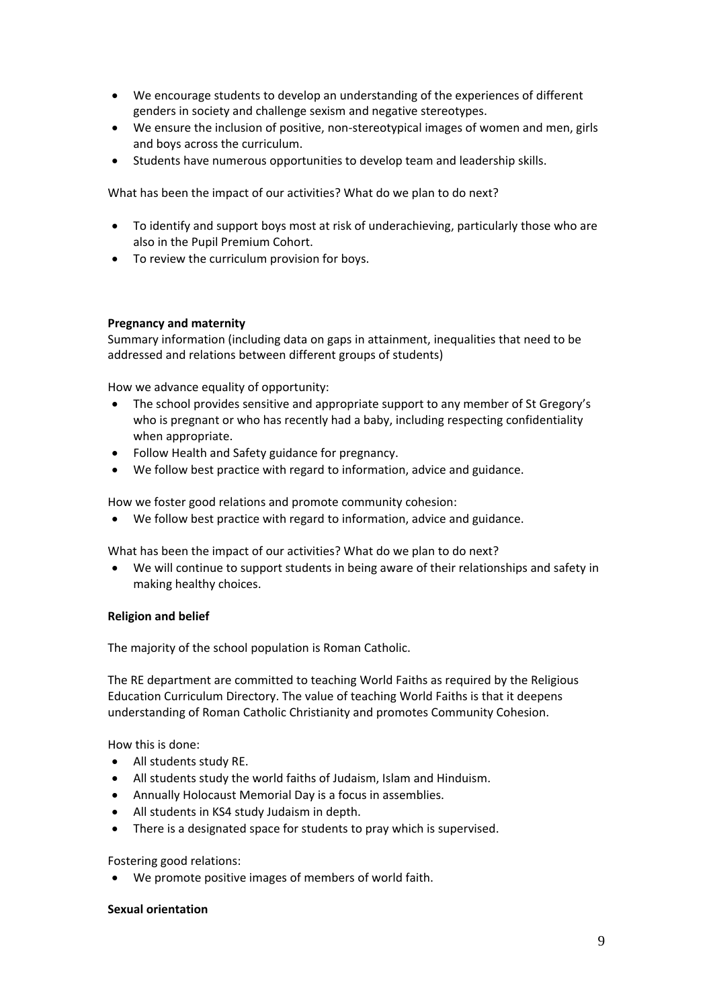- We encourage students to develop an understanding of the experiences of different genders in society and challenge sexism and negative stereotypes.
- We ensure the inclusion of positive, non-stereotypical images of women and men, girls and boys across the curriculum.
- Students have numerous opportunities to develop team and leadership skills.

What has been the impact of our activities? What do we plan to do next?

- To identify and support boys most at risk of underachieving, particularly those who are also in the Pupil Premium Cohort.
- To review the curriculum provision for boys.

### **Pregnancy and maternity**

Summary information (including data on gaps in attainment, inequalities that need to be addressed and relations between different groups of students)

How we advance equality of opportunity:

- The school provides sensitive and appropriate support to any member of St Gregory's who is pregnant or who has recently had a baby, including respecting confidentiality when appropriate.
- Follow Health and Safety guidance for pregnancy.
- We follow best practice with regard to information, advice and guidance.

How we foster good relations and promote community cohesion:

We follow best practice with regard to information, advice and guidance.

What has been the impact of our activities? What do we plan to do next?

 We will continue to support students in being aware of their relationships and safety in making healthy choices.

### **Religion and belief**

The majority of the school population is Roman Catholic.

The RE department are committed to teaching World Faiths as required by the Religious Education Curriculum Directory. The value of teaching World Faiths is that it deepens understanding of Roman Catholic Christianity and promotes Community Cohesion.

How this is done:

- All students study RE.
- All students study the world faiths of Judaism, Islam and Hinduism.
- Annually Holocaust Memorial Day is a focus in assemblies.
- All students in KS4 study Judaism in depth.
- There is a designated space for students to pray which is supervised.

Fostering good relations:

We promote positive images of members of world faith.

### **Sexual orientation**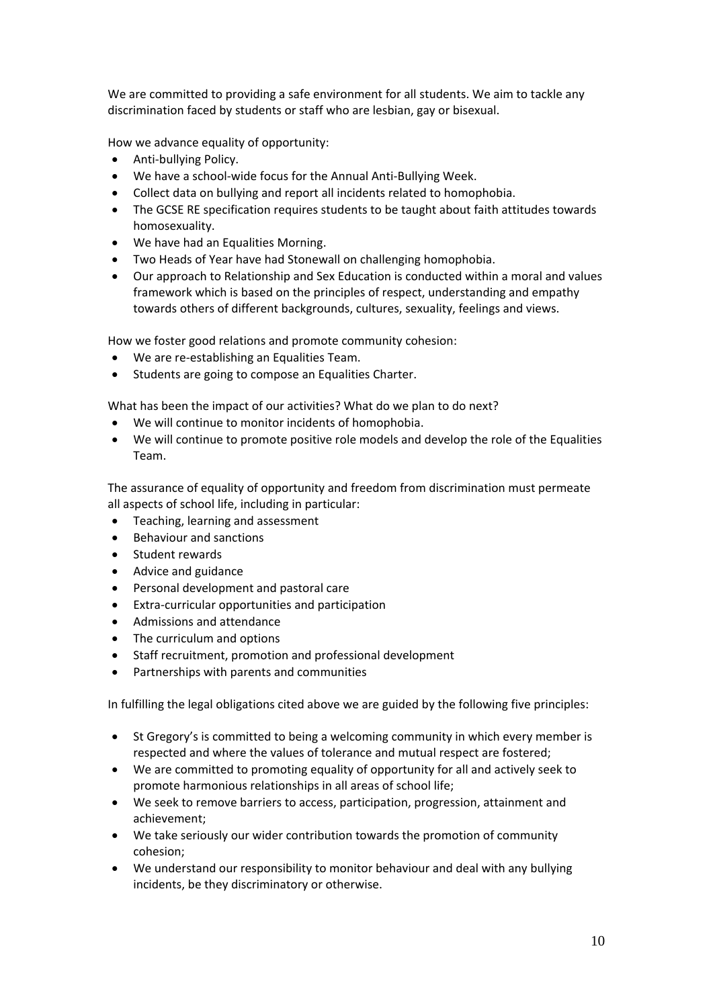We are committed to providing a safe environment for all students. We aim to tackle any discrimination faced by students or staff who are lesbian, gay or bisexual.

How we advance equality of opportunity:

- Anti-bullying Policy.
- We have a school-wide focus for the Annual Anti-Bullying Week.
- Collect data on bullying and report all incidents related to homophobia.
- The GCSE RE specification requires students to be taught about faith attitudes towards homosexuality.
- We have had an Equalities Morning.
- Two Heads of Year have had Stonewall on challenging homophobia.
- Our approach to Relationship and Sex Education is conducted within a moral and values framework which is based on the principles of respect, understanding and empathy towards others of different backgrounds, cultures, sexuality, feelings and views.

How we foster good relations and promote community cohesion:

- We are re-establishing an Equalities Team.
- Students are going to compose an Equalities Charter.

What has been the impact of our activities? What do we plan to do next?

- We will continue to monitor incidents of homophobia.
- We will continue to promote positive role models and develop the role of the Equalities Team.

The assurance of equality of opportunity and freedom from discrimination must permeate all aspects of school life, including in particular:

- Teaching, learning and assessment
- Behaviour and sanctions
- Student rewards
- Advice and guidance
- Personal development and pastoral care
- Extra-curricular opportunities and participation
- Admissions and attendance
- The curriculum and options
- Staff recruitment, promotion and professional development
- Partnerships with parents and communities

In fulfilling the legal obligations cited above we are guided by the following five principles:

- St Gregory's is committed to being a welcoming community in which every member is respected and where the values of tolerance and mutual respect are fostered;
- We are committed to promoting equality of opportunity for all and actively seek to promote harmonious relationships in all areas of school life;
- We seek to remove barriers to access, participation, progression, attainment and achievement;
- We take seriously our wider contribution towards the promotion of community cohesion;
- We understand our responsibility to monitor behaviour and deal with any bullying incidents, be they discriminatory or otherwise.